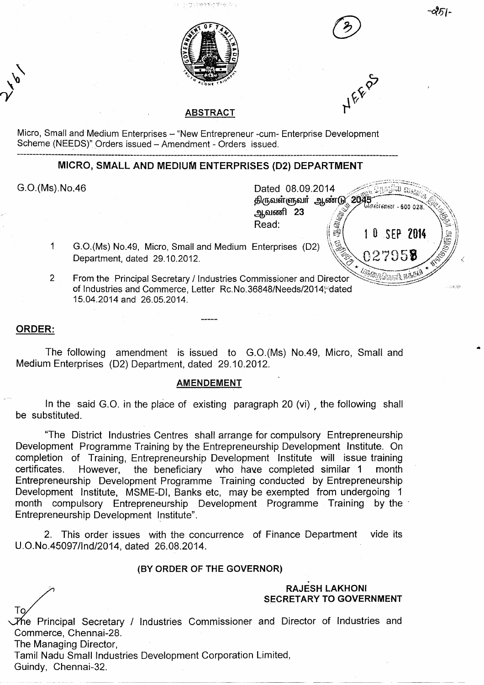

25।-



使分钟物务处于 医细胞中心



## **ABSTRACT**

Micro, Small and Medium Enterprises - "New Entrepreneur -cum- Enterprise Development Scheme (NEEDS)" Orders issued - Amendment - Orders issued.

# **MICRO, SMALL AND MEDIUM ENTERPRISES (D2) DEPARTMENT**

 $\overline{1}$ 

 $\sum_{i=1}^{n}$ 

G.O.(Ms).No.46 **Dated 08.09.2014** Dated 08.09.2014 *Dated 08.09.2014* and the set of the set of the set of the set of the set of the set of the set of the set of the set of the set of the set of the set of the set of the ஆவணி 23 Read: 10 SEP 2014 ार्ज દે G.O.(Ms) No.49, Micro, Small and Medium Enterprises (D2) \ 027958

 $\overline{2}$ From the Principal Secretary / Industries Commissioner and Director of Industries and Commerce, Letter Rc.No.36848/Needs/2014; dated 15.04.2014 and 26.05.2014.

Department, dated 29.10.2012.

### **ORDER:**

The following amendment is issued to G.O.(Ms) No.49, Micro, Small and Medium Enterprises (D2) Department, dated 29.10.2012.

#### **AMENDEMENT**

In the said G.O. in the place of existing paragraph 20 (vi) the following shall be substituted.

"The District Industries Centres shall arrange for compulsory Entrepreneurship Development Programme Training by the Entrepreneurship Development Institute. On completion of Training, Entrepreneurship Development Institute will issue training certificates. However, the beneficiary who have completed similar 1 month Entrepreneurship Development Programme Training conducted by Entrepreneurship Development Institute, MSME-DI, Banks etc, may be exempted from undergoing 1 month compulsory Entrepreneurship Development Programme Training by the Entrepreneurship Development Institute".

2. This order issues with the concurrence of Finance Department vide its U.O.No.45097/lnd/2014, dated 26.08.2014.

#### **(BY ORDER OF THE GOVERNOR)**

## **RAJESH LAKHONI SECRETARY TO GOVERNMENT**

The Principal Secretary / Industries Commissioner and Director of Industries and Commerce, Chennai-28.

The Managing Director,

Tamil Nadu Small Industries Development Corporation Limited,

Guindy, Chennai-32.

To